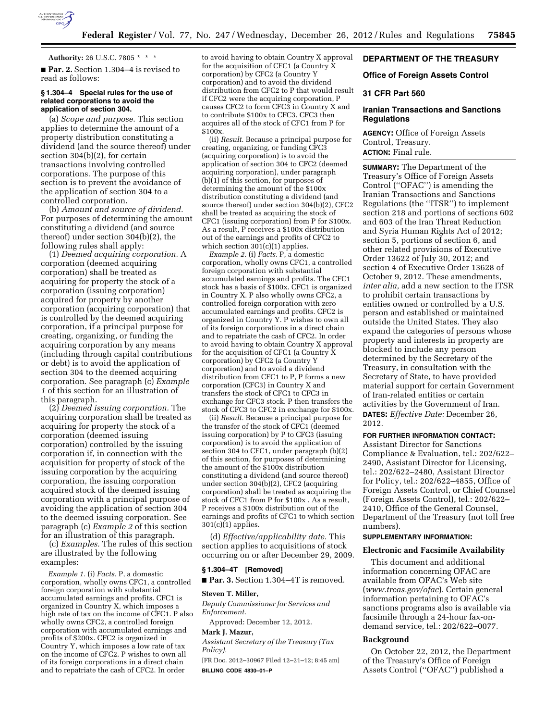

### **Authority:** 26 U.S.C. 7805 \* \* \*

■ **Par. 2.** Section 1.304–4 is revised to read as follows:

### **§ 1.304–4 Special rules for the use of related corporations to avoid the application of section 304.**

(a) *Scope and purpose.* This section applies to determine the amount of a property distribution constituting a dividend (and the source thereof) under section 304(b)(2), for certain transactions involving controlled corporations. The purpose of this section is to prevent the avoidance of the application of section 304 to a controlled corporation.

(b) *Amount and source of dividend.*  For purposes of determining the amount constituting a dividend (and source thereof) under section 304(b)(2), the following rules shall apply:

(1) *Deemed acquiring corporation.* A corporation (deemed acquiring corporation) shall be treated as acquiring for property the stock of a corporation (issuing corporation) acquired for property by another corporation (acquiring corporation) that is controlled by the deemed acquiring corporation, if a principal purpose for creating, organizing, or funding the acquiring corporation by any means (including through capital contributions or debt) is to avoid the application of section 304 to the deemed acquiring corporation. See paragraph (c) *Example 1* of this section for an illustration of this paragraph.

(2) *Deemed issuing corporation.* The acquiring corporation shall be treated as acquiring for property the stock of a corporation (deemed issuing corporation) controlled by the issuing corporation if, in connection with the acquisition for property of stock of the issuing corporation by the acquiring corporation, the issuing corporation acquired stock of the deemed issuing corporation with a principal purpose of avoiding the application of section 304 to the deemed issuing corporation. See paragraph (c) *Example 2* of this section for an illustration of this paragraph.

(c) *Examples.* The rules of this section are illustrated by the following examples:

*Example 1.* (i) *Facts.* P, a domestic corporation, wholly owns CFC1, a controlled foreign corporation with substantial accumulated earnings and profits. CFC1 is organized in Country X, which imposes a high rate of tax on the income of CFC1. P also wholly owns CFC2, a controlled foreign corporation with accumulated earnings and profits of \$200x. CFC2 is organized in Country Y, which imposes a low rate of tax on the income of CFC2. P wishes to own all of its foreign corporations in a direct chain and to repatriate the cash of CFC2. In order

to avoid having to obtain Country X approval for the acquisition of CFC1 (a Country X corporation) by CFC2 (a Country Y corporation) and to avoid the dividend distribution from CFC2 to P that would result if CFC2 were the acquiring corporation, P causes CFC2 to form CFC3 in Country X and to contribute \$100x to CFC3. CFC3 then acquires all of the stock of CFC1 from P for \$100x.

(ii) *Result.* Because a principal purpose for creating, organizing, or funding CFC3 (acquiring corporation) is to avoid the application of section 304 to CFC2 (deemed acquiring corporation), under paragraph  $(b)(1)$  of this section, for purposes of determining the amount of the \$100x distribution constituting a dividend (and source thereof) under section 304(b)(2), CFC2 shall be treated as acquiring the stock of CFC1 (issuing corporation) from P for \$100x. As a result, P receives a \$100x distribution out of the earnings and profits of CFC2 to which section 301(c)(1) applies.

*Example 2.* (i) *Facts.* P, a domestic corporation, wholly owns CFC1, a controlled foreign corporation with substantial accumulated earnings and profits. The CFC1 stock has a basis of \$100x. CFC1 is organized in Country X. P also wholly owns CFC2, a controlled foreign corporation with zero accumulated earnings and profits. CFC2 is organized in Country Y. P wishes to own all of its foreign corporations in a direct chain and to repatriate the cash of CFC2. In order to avoid having to obtain Country X approval for the acquisition of CFC1 (a Country  $\tilde{X}$ corporation) by CFC2 (a Country Y corporation) and to avoid a dividend distribution from CFC1 to P, P forms a new corporation (CFC3) in Country X and transfers the stock of CFC1 to CFC3 in exchange for CFC3 stock. P then transfers the stock of CFC3 to CFC2 in exchange for \$100x.

(ii) *Result.* Because a principal purpose for the transfer of the stock of CFC1 (deemed issuing corporation) by P to CFC3 (issuing corporation) is to avoid the application of section 304 to CFC1, under paragraph (b)(2) of this section, for purposes of determining the amount of the  $$100x$  distribution constituting a dividend (and source thereof) under section 304(b)(2), CFC2 (acquiring corporation) shall be treated as acquiring the stock of CFC1 from P for \$100x . As a result, P receives a \$100x distribution out of the earnings and profits of CFC1 to which section 301(c)(1) applies.

(d) *Effective/applicability date.* This section applies to acquisitions of stock occurring on or after December 29, 2009.

### **§ 1.304–4T [Removed]**

■ **Par. 3.** Section 1.304–4T is removed.

### **Steven T. Miller,**

*Deputy Commissioner for Services and Enforcement.* 

Approved: December 12, 2012.

## **Mark J. Mazur,**

*Assistant Secretary of the Treasury (Tax Policy).* 

[FR Doc. 2012–30967 Filed 12–21–12; 8:45 am] **BILLING CODE 4830–01–P** 

# **DEPARTMENT OF THE TREASURY**

### **Office of Foreign Assets Control**

## **31 CFR Part 560**

# **Iranian Transactions and Sanctions Regulations**

**AGENCY:** Office of Foreign Assets Control, Treasury. **ACTION:** Final rule.

**SUMMARY:** The Department of the Treasury's Office of Foreign Assets Control (''OFAC'') is amending the Iranian Transactions and Sanctions Regulations (the ''ITSR'') to implement section 218 and portions of sections 602 and 603 of the Iran Threat Reduction and Syria Human Rights Act of 2012; section 5, portions of section 6, and other related provisions of Executive Order 13622 of July 30, 2012; and section 4 of Executive Order 13628 of October 9, 2012. These amendments, *inter alia,* add a new section to the ITSR to prohibit certain transactions by entities owned or controlled by a U.S. person and established or maintained outside the United States. They also expand the categories of persons whose property and interests in property are blocked to include any person determined by the Secretary of the Treasury, in consultation with the Secretary of State, to have provided material support for certain Government of Iran-related entities or certain activities by the Government of Iran. **DATES:** *Effective Date:* December 26, 2012.

## **FOR FURTHER INFORMATION CONTACT:**

Assistant Director for Sanctions Compliance & Evaluation, tel.: 202/622– 2490, Assistant Director for Licensing, tel.: 202/622–2480, Assistant Director for Policy, tel.: 202/622–4855, Office of Foreign Assets Control, or Chief Counsel (Foreign Assets Control), tel.: 202/622– 2410, Office of the General Counsel, Department of the Treasury (not toll free numbers).

# **SUPPLEMENTARY INFORMATION:**

## **Electronic and Facsimile Availability**

This document and additional information concerning OFAC are available from OFAC's Web site (*[www.treas.gov/ofac](http://www.treas.gov/ofac)*). Certain general information pertaining to OFAC's sanctions programs also is available via facsimile through a 24-hour fax-ondemand service, tel.: 202/622–0077.

### **Background**

On October 22, 2012, the Department of the Treasury's Office of Foreign Assets Control (''OFAC'') published a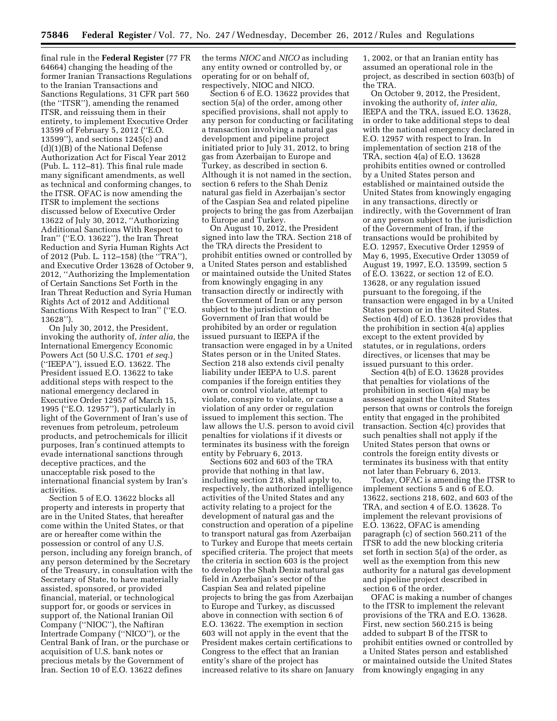final rule in the **Federal Register** (77 FR 64664) changing the heading of the former Iranian Transactions Regulations to the Iranian Transactions and Sanctions Regulations, 31 CFR part 560 (the ''ITSR''), amending the renamed ITSR, and reissuing them in their entirety, to implement Executive Order 13599 of February 5, 2012 (''E.O. 13599''), and sections 1245(c) and (d)(1)(B) of the National Defense Authorization Act for Fiscal Year 2012 (Pub. L. 112–81). This final rule made many significant amendments, as well as technical and conforming changes, to the ITSR. OFAC is now amending the ITSR to implement the sections discussed below of Executive Order 13622 of July 30, 2012, ''Authorizing Additional Sanctions With Respect to Iran'' (''E.O. 13622''), the Iran Threat Reduction and Syria Human Rights Act of 2012 (Pub. L. 112–158) (the ''TRA''), and Executive Order 13628 of October 9, 2012, ''Authorizing the Implementation of Certain Sanctions Set Forth in the Iran Threat Reduction and Syria Human Rights Act of 2012 and Additional Sanctions With Respect to Iran'' (''E.O. 13628'').

On July 30, 2012, the President, invoking the authority of, *inter alia,* the International Emergency Economic Powers Act (50 U.S.C. 1701 *et seq.*) (''IEEPA''), issued E.O. 13622. The President issued E.O. 13622 to take additional steps with respect to the national emergency declared in Executive Order 12957 of March 15, 1995 (''E.O. 12957''), particularly in light of the Government of Iran's use of revenues from petroleum, petroleum products, and petrochemicals for illicit purposes, Iran's continued attempts to evade international sanctions through deceptive practices, and the unacceptable risk posed to the international financial system by Iran's activities.

Section 5 of E.O. 13622 blocks all property and interests in property that are in the United States, that hereafter come within the United States, or that are or hereafter come within the possession or control of any U.S. person, including any foreign branch, of any person determined by the Secretary of the Treasury, in consultation with the Secretary of State, to have materially assisted, sponsored, or provided financial, material, or technological support for, or goods or services in support of, the National Iranian Oil Company (''NIOC''), the Naftiran Intertrade Company (''NICO''), or the Central Bank of Iran, or the purchase or acquisition of U.S. bank notes or precious metals by the Government of Iran. Section 10 of E.O. 13622 defines

the terms *NIOC* and *NICO* as including any entity owned or controlled by, or operating for or on behalf of, respectively, NIOC and NICO.

Section 6 of E.O. 13622 provides that section 5(a) of the order, among other specified provisions, shall not apply to any person for conducting or facilitating a transaction involving a natural gas development and pipeline project initiated prior to July 31, 2012, to bring gas from Azerbaijan to Europe and Turkey, as described in section 6. Although it is not named in the section, section 6 refers to the Shah Deniz natural gas field in Azerbaijan's sector of the Caspian Sea and related pipeline projects to bring the gas from Azerbaijan to Europe and Turkey.

On August 10, 2012, the President signed into law the TRA. Section 218 of the TRA directs the President to prohibit entities owned or controlled by a United States person and established or maintained outside the United States from knowingly engaging in any transaction directly or indirectly with the Government of Iran or any person subject to the jurisdiction of the Government of Iran that would be prohibited by an order or regulation issued pursuant to IEEPA if the transaction were engaged in by a United States person or in the United States. Section 218 also extends civil penalty liability under IEEPA to U.S. parent companies if the foreign entities they own or control violate, attempt to violate, conspire to violate, or cause a violation of any order or regulation issued to implement this section. The law allows the U.S. person to avoid civil penalties for violations if it divests or terminates its business with the foreign entity by February 6, 2013.

Sections 602 and 603 of the TRA provide that nothing in that law, including section 218, shall apply to, respectively, the authorized intelligence activities of the United States and any activity relating to a project for the development of natural gas and the construction and operation of a pipeline to transport natural gas from Azerbaijan to Turkey and Europe that meets certain specified criteria. The project that meets the criteria in section 603 is the project to develop the Shah Deniz natural gas field in Azerbaijan's sector of the Caspian Sea and related pipeline projects to bring the gas from Azerbaijan to Europe and Turkey, as discussed above in connection with section 6 of E.O. 13622. The exemption in section 603 will not apply in the event that the President makes certain certifications to Congress to the effect that an Iranian entity's share of the project has increased relative to its share on January 1, 2002, or that an Iranian entity has assumed an operational role in the project, as described in section 603(b) of the TRA.

On October 9, 2012, the President, invoking the authority of, *inter alia,*  IEEPA and the TRA, issued E.O. 13628, in order to take additional steps to deal with the national emergency declared in E.O. 12957 with respect to Iran. In implementation of section 218 of the TRA, section 4(a) of E.O. 13628 prohibits entities owned or controlled by a United States person and established or maintained outside the United States from knowingly engaging in any transactions, directly or indirectly, with the Government of Iran or any person subject to the jurisdiction of the Government of Iran, if the transactions would be prohibited by E.O. 12957, Executive Order 12959 of May 6, 1995, Executive Order 13059 of August 19, 1997, E.O. 13599, section 5 of E.O. 13622, or section 12 of E.O. 13628, or any regulation issued pursuant to the foregoing, if the transaction were engaged in by a United States person or in the United States. Section 4(d) of E.O. 13628 provides that the prohibition in section 4(a) applies except to the extent provided by statutes, or in regulations, orders directives, or licenses that may be issued pursuant to this order.

Section 4(b) of E.O. 13628 provides that penalties for violations of the prohibition in section 4(a) may be assessed against the United States person that owns or controls the foreign entity that engaged in the prohibited transaction. Section 4(c) provides that such penalties shall not apply if the United States person that owns or controls the foreign entity divests or terminates its business with that entity not later than February 6, 2013.

Today, OFAC is amending the ITSR to implement sections 5 and 6 of E.O. 13622, sections 218, 602, and 603 of the TRA, and section 4 of E.O. 13628. To implement the relevant provisions of E.O. 13622, OFAC is amending paragraph (c) of section 560.211 of the ITSR to add the new blocking criteria set forth in section 5(a) of the order, as well as the exemption from this new authority for a natural gas development and pipeline project described in section 6 of the order.

OFAC is making a number of changes to the ITSR to implement the relevant provisions of the TRA and E.O. 13628. First, new section 560.215 is being added to subpart B of the ITSR to prohibit entities owned or controlled by a United States person and established or maintained outside the United States from knowingly engaging in any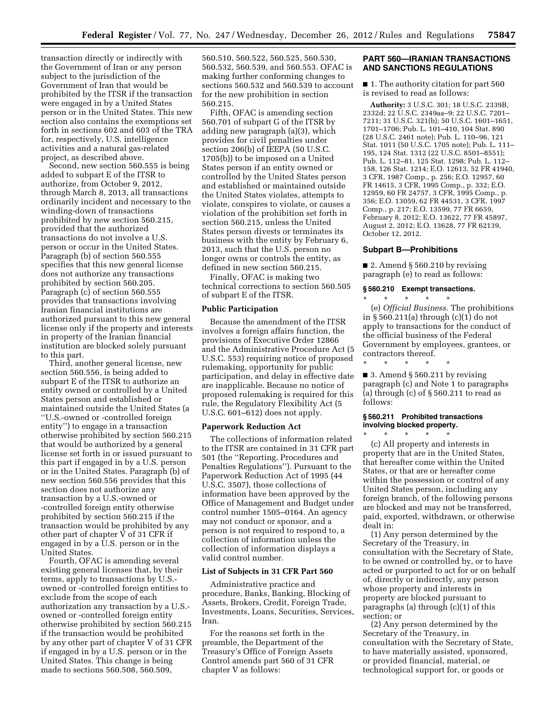transaction directly or indirectly with the Government of Iran or any person subject to the jurisdiction of the Government of Iran that would be prohibited by the ITSR if the transaction were engaged in by a United States person or in the United States. This new section also contains the exemptions set forth in sections 602 and 603 of the TRA for, respectively, U.S. intelligence activities and a natural gas-related project, as described above.

Second, new section 560.555 is being added to subpart E of the ITSR to authorize, from October 9, 2012, through March 8, 2013, all transactions ordinarily incident and necessary to the winding-down of transactions prohibited by new section 560.215, provided that the authorized transactions do not involve a U.S. person or occur in the United States. Paragraph (b) of section 560.555 specifies that this new general license does not authorize any transactions prohibited by section 560.205. Paragraph (c) of section 560.555 provides that transactions involving Iranian financial institutions are authorized pursuant to this new general license only if the property and interests in property of the Iranian financial institution are blocked solely pursuant to this part.

Third, another general license, new section 560.556, is being added to subpart E of the ITSR to authorize an entity owned or controlled by a United States person and established or maintained outside the United States (a ''U.S.-owned or -controlled foreign entity'') to engage in a transaction otherwise prohibited by section 560.215 that would be authorized by a general license set forth in or issued pursuant to this part if engaged in by a U.S. person or in the United States. Paragraph (b) of new section 560.556 provides that this section does not authorize any transaction by a U.S.-owned or -controlled foreign entity otherwise prohibited by section 560.215 if the transaction would be prohibited by any other part of chapter V of 31 CFR if engaged in by a U.S. person or in the United States.

Fourth, OFAC is amending several existing general licenses that, by their terms, apply to transactions by U.S. owned or -controlled foreign entities to exclude from the scope of each authorization any transaction by a U.S. owned or -controlled foreign entity otherwise prohibited by section 560.215 if the transaction would be prohibited by any other part of chapter V of 31 CFR if engaged in by a U.S. person or in the United States. This change is being made to sections 560.508, 560.509,

560.510, 560.522, 560.525, 560.530, 560.532, 560.539, and 560.553. OFAC is making further conforming changes to sections 560.532 and 560.539 to account for the new prohibition in section 560.215.

Fifth, OFAC is amending section 560.701 of subpart G of the ITSR by adding new paragraph (a)(3), which provides for civil penalties under section 206(b) of IEEPA (50 U.S.C. 1705(b)) to be imposed on a United States person if an entity owned or controlled by the United States person and established or maintained outside the United States violates, attempts to violate, conspires to violate, or causes a violation of the prohibition set forth in section 560.215, unless the United States person divests or terminates its business with the entity by February 6, 2013, such that the U.S. person no longer owns or controls the entity, as defined in new section 560.215.

Finally, OFAC is making two technical corrections to section 560.505 of subpart E of the ITSR.

## **Public Participation**

Because the amendment of the ITSR involves a foreign affairs function, the provisions of Executive Order 12866 and the Administrative Procedure Act (5 U.S.C. 553) requiring notice of proposed rulemaking, opportunity for public participation, and delay in effective date are inapplicable. Because no notice of proposed rulemaking is required for this rule, the Regulatory Flexibility Act (5 U.S.C. 601–612) does not apply.

#### **Paperwork Reduction Act**

The collections of information related to the ITSR are contained in 31 CFR part 501 (the ''Reporting, Procedures and Penalties Regulations''). Pursuant to the Paperwork Reduction Act of 1995 (44 U.S.C. 3507), those collections of information have been approved by the Office of Management and Budget under control number 1505–0164. An agency may not conduct or sponsor, and a person is not required to respond to, a collection of information unless the collection of information displays a valid control number.

### **List of Subjects in 31 CFR Part 560**

Administrative practice and procedure, Banks, Banking, Blocking of Assets, Brokers, Credit, Foreign Trade, Investments, Loans, Securities, Services, Iran.

For the reasons set forth in the preamble, the Department of the Treasury's Office of Foreign Assets Control amends part 560 of 31 CFR chapter V as follows:

## **PART 560—IRANIAN TRANSACTIONS AND SANCTIONS REGULATIONS**

■ 1. The authority citation for part 560 is revised to read as follows:

**Authority:** 3 U.S.C. 301; 18 U.S.C. 2339B, 2332d; 22 U.S.C. 2349aa–9; 22 U.S.C. 7201– 7211; 31 U.S.C. 321(b); 50 U.S.C. 1601–1651, 1701–1706; Pub. L. 101–410, 104 Stat. 890 (28 U.S.C. 2461 note); Pub. L. 110–96, 121 Stat. 1011 (50 U.S.C. 1705 note); Pub. L. 111– 195, 124 Stat. 1312 (22 U.S.C. 8501–8551); Pub. L. 112–81, 125 Stat. 1298; Pub. L. 112– 158, 126 Stat. 1214; E.O. 12613, 52 FR 41940, 3 CFR, 1987 Comp., p. 256; E.O. 12957, 60 FR 14615, 3 CFR, 1995 Comp., p. 332; E.O. 12959, 60 FR 24757, 3 CFR, 1995 Comp., p. 356; E.O. 13059, 62 FR 44531, 3 CFR, 1997 Comp., p. 217; E.O. 13599, 77 FR 6659, February 8, 2012; E.O. 13622, 77 FR 45897, August 2, 2012; E.O. 13628, 77 FR 62139, October 12, 2012.

### **Subpart B—Prohibitions**

\* \* \* \* \*

■ 2. Amend § 560.210 by revising paragraph (e) to read as follows:

## **§ 560.210 Exempt transactions.**

\* \* \* \* \* (e) *Official Business.* The prohibitions in § 560.211(a) through (c)(1) do not apply to transactions for the conduct of the official business of the Federal Government by employees, grantees, or contractors thereof.

 $\blacksquare$  3. Amend § 560.211 by revising paragraph (c) and Note 1 to paragraphs (a) through  $(c)$  of  $\S 560.211$  to read as follows:

## **§ 560.211 Prohibited transactions involving blocked property.**

\* \* \* \* \* (c) All property and interests in property that are in the United States, that hereafter come within the United States, or that are or hereafter come within the possession or control of any United States person, including any foreign branch, of the following persons are blocked and may not be transferred, paid, exported, withdrawn, or otherwise dealt in:

(1) Any person determined by the Secretary of the Treasury, in consultation with the Secretary of State, to be owned or controlled by, or to have acted or purported to act for or on behalf of, directly or indirectly, any person whose property and interests in property are blocked pursuant to paragraphs (a) through (c)(1) of this section; or

(2) Any person determined by the Secretary of the Treasury, in consultation with the Secretary of State, to have materially assisted, sponsored, or provided financial, material, or technological support for, or goods or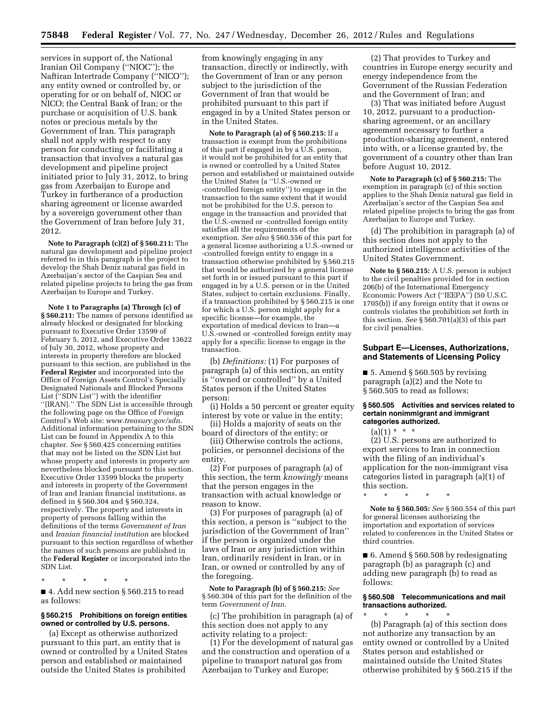services in support of, the National Iranian Oil Company (''NIOC''); the Naftiran Intertrade Company (''NICO''); any entity owned or controlled by, or operating for or on behalf of, NIOC or NICO; the Central Bank of Iran; or the purchase or acquisition of U.S. bank notes or precious metals by the Government of Iran. This paragraph shall not apply with respect to any person for conducting or facilitating a transaction that involves a natural gas development and pipeline project initiated prior to July 31, 2012, to bring gas from Azerbaijan to Europe and Turkey in furtherance of a production sharing agreement or license awarded by a sovereign government other than the Government of Iran before July 31, 2012.

**Note to Paragraph (c)(2) of § 560.211:** The natural gas development and pipeline project referred to in this paragraph is the project to develop the Shah Deniz natural gas field in Azerbaijan's sector of the Caspian Sea and related pipeline projects to bring the gas from Azerbaijan to Europe and Turkey.

**Note 1 to Paragraphs (a) Through (c) of § 560.211:** The names of persons identified as already blocked or designated for blocking pursuant to Executive Order 13599 of February 5, 2012, and Executive Order 13622 of July 30, 2012, whose property and interests in property therefore are blocked pursuant to this section, are published in the **Federal Register** and incorporated into the Office of Foreign Assets Control's Specially Designated Nationals and Blocked Persons List (''SDN List'') with the identifier ''[IRAN].'' The SDN List is accessible through the following page on the Office of Foreign Control's Web site: *[www.treasury.gov/sdn](http://www.treasury.gov/sdn)*. Additional information pertaining to the SDN List can be found in Appendix A to this chapter. *See* § 560.425 concerning entities that may not be listed on the SDN List but whose property and interests in property are nevertheless blocked pursuant to this section. Executive Order 13599 blocks the property and interests in property of the Government of Iran and Iranian financial institutions, as defined in § 560.304 and § 560.324, respectively. The property and interests in property of persons falling within the definitions of the terms *Government of Iran*  and *Iranian financial institution* are blocked pursuant to this section regardless of whether the names of such persons are published in the **Federal Register** or incorporated into the SDN List.

\* \* \* \* \*

■ 4. Add new section § 560.215 to read as follows:

## **§ 560.215 Prohibitions on foreign entities owned or controlled by U.S. persons.**

(a) Except as otherwise authorized pursuant to this part, an entity that is owned or controlled by a United States person and established or maintained outside the United States is prohibited

from knowingly engaging in any transaction, directly or indirectly, with the Government of Iran or any person subject to the jurisdiction of the Government of Iran that would be prohibited pursuant to this part if engaged in by a United States person or in the United States.

**Note to Paragraph (a) of § 560.215:** If a transaction is exempt from the prohibitions of this part if engaged in by a U.S. person, it would not be prohibited for an entity that is owned or controlled by a United States person and established or maintained outside the United States (a ''U.S.-owned or -controlled foreign entity'') to engage in the transaction to the same extent that it would not be prohibited for the U.S. person to engage in the transaction and provided that the U.S.-owned or -controlled foreign entity satisfies all the requirements of the exemption. *See also* § 560.556 of this part for a general license authorizing a U.S.-owned or -controlled foreign entity to engage in a transaction otherwise prohibited by § 560.215 that would be authorized by a general license set forth in or issued pursuant to this part if engaged in by a U.S. person or in the United States, subject to certain exclusions. Finally, if a transaction prohibited by § 560.215 is one for which a U.S. person might apply for a specific license—for example, the exportation of medical devices to Iran—a U.S.-owned or -controlled foreign entity may apply for a specific license to engage in the transaction.

(b) *Definitions:* (1) For purposes of paragraph (a) of this section, an entity is ''owned or controlled'' by a United States person if the United States person:

(i) Holds a 50 percent or greater equity interest by vote or value in the entity;

(ii) Holds a majority of seats on the board of directors of the entity; or

(iii) Otherwise controls the actions, policies, or personnel decisions of the entity.

(2) For purposes of paragraph (a) of this section, the term *knowingly* means that the person engages in the transaction with actual knowledge or reason to know.

(3) For purposes of paragraph (a) of this section, a person is ''subject to the jurisdiction of the Government of Iran'' if the person is organized under the laws of Iran or any jurisdiction within Iran, ordinarily resident in Iran, or in Iran, or owned or controlled by any of the foregoing.

**Note to Paragraph (b) of § 560.215:** *See*  § 560.304 of this part for the definition of the term *Government of Iran.* 

(c) The prohibition in paragraph (a) of this section does not apply to any activity relating to a project:

(1) For the development of natural gas and the construction and operation of a pipeline to transport natural gas from Azerbaijan to Turkey and Europe;

(2) That provides to Turkey and countries in Europe energy security and energy independence from the Government of the Russian Federation and the Government of Iran; and

(3) That was initiated before August 10, 2012, pursuant to a productionsharing agreement, or an ancillary agreement necessary to further a production-sharing agreement, entered into with, or a license granted by, the government of a country other than Iran before August 10, 2012.

**Note to Paragraph (c) of § 560.215:** The exemption in paragraph (c) of this section applies to the Shah Deniz natural gas field in Azerbaijan's sector of the Caspian Sea and related pipeline projects to bring the gas from Azerbaijan to Europe and Turkey.

(d) The prohibition in paragraph (a) of this section does not apply to the authorized intelligence activities of the United States Government.

**Note to § 560.215:** A U.S. person is subject to the civil penalties provided for in section 206(b) of the International Emergency Economic Powers Act (''IEEPA'') (50 U.S.C. 1705(b)) if any foreign entity that it owns or controls violates the prohibition set forth in this section. *See* § 560.701(a)(3) of this part for civil penalties.

### **Subpart E—Licenses, Authorizations, and Statements of Licensing Policy**

 $\blacksquare$  5. Amend § 560.505 by revising paragraph (a)(2) and the Note to § 560.505 to read as follows:

### **§ 560.505 Activities and services related to certain nonimmigrant and immigrant categories authorized.**

# (a)(1) \* \* \*

(2) U.S. persons are authorized to export services to Iran in connection with the filing of an individual's application for the non-immigrant visa categories listed in paragraph (a)(1) of this section.

\* \* \* \* \*

**Note to § 560.505:** *See* § 560.554 of this part for general licenses authorizing the importation and exportation of services related to conferences in the United States or third countries.

■ 6. Amend § 560.508 by redesignating paragraph (b) as paragraph (c) and adding new paragraph (b) to read as follows:

# **§ 560.508 Telecommunications and mail transactions authorized.**

\* \* \* \* \* (b) Paragraph (a) of this section does not authorize any transaction by an entity owned or controlled by a United States person and established or maintained outside the United States otherwise prohibited by § 560.215 if the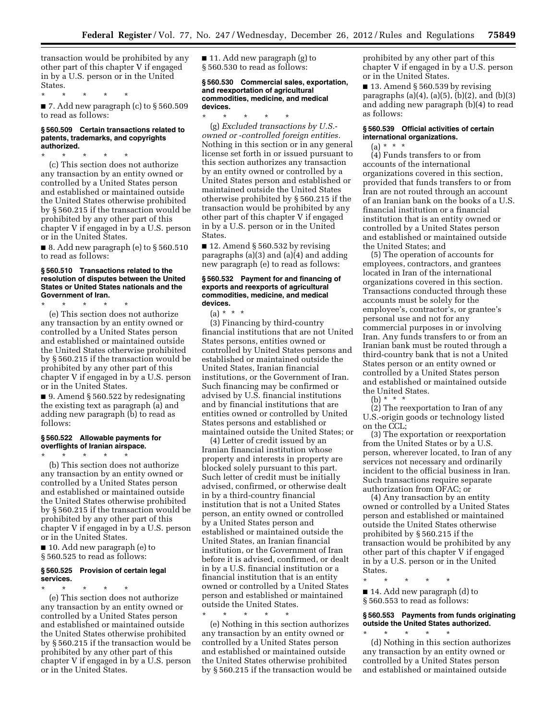transaction would be prohibited by any other part of this chapter V if engaged in by a U.S. person or in the United States.

\* \* \* \* \*

 $\blacksquare$  7. Add new paragraph (c) to § 560.509 to read as follows:

### **§ 560.509 Certain transactions related to patents, trademarks, and copyrights authorized.**

\* \* \* \* \*

(c) This section does not authorize any transaction by an entity owned or controlled by a United States person and established or maintained outside the United States otherwise prohibited by § 560.215 if the transaction would be prohibited by any other part of this chapter V if engaged in by a U.S. person or in the United States.

 $\blacksquare$  8. Add new paragraph (e) to § 560.510 to read as follows:

### **§ 560.510 Transactions related to the resolution of disputes between the United States or United States nationals and the Government of Iran.**

\* \* \* \* \*

(e) This section does not authorize any transaction by an entity owned or controlled by a United States person and established or maintained outside the United States otherwise prohibited by § 560.215 if the transaction would be prohibited by any other part of this chapter V if engaged in by a U.S. person or in the United States.

■ 9. Amend § 560.522 by redesignating the existing text as paragraph (a) and adding new paragraph (b) to read as follows:

## **§ 560.522 Allowable payments for overflights of Iranian airspace.**

\* \* \* \* \* (b) This section does not authorize any transaction by an entity owned or controlled by a United States person and established or maintained outside the United States otherwise prohibited by § 560.215 if the transaction would be prohibited by any other part of this chapter V if engaged in by a U.S. person or in the United States.

■ 10. Add new paragraph (e) to § 560.525 to read as follows:

## **§ 560.525 Provision of certain legal services.**

\* \* \* \* \* (e) This section does not authorize any transaction by an entity owned or controlled by a United States person and established or maintained outside the United States otherwise prohibited by § 560.215 if the transaction would be prohibited by any other part of this chapter V if engaged in by a U.S. person or in the United States.

■ 11. Add new paragraph (g) to § 560.530 to read as follows:

### **§ 560.530 Commercial sales, exportation, and reexportation of agricultural commodities, medicine, and medical devices.**

\* \* \* \* \* (g) *Excluded transactions by U.S. owned or* -*controlled foreign entities.*  Nothing in this section or in any general license set forth in or issued pursuant to this section authorizes any transaction by an entity owned or controlled by a United States person and established or maintained outside the United States otherwise prohibited by § 560.215 if the transaction would be prohibited by any other part of this chapter V if engaged in by a U.S. person or in the United States.

 $\blacksquare$  12. Amend § 560.532 by revising paragraphs (a)(3) and (a)(4) and adding new paragraph (e) to read as follows:

### **§ 560.532 Payment for and financing of exports and reexports of agricultural commodities, medicine, and medical devices.**

 $(a) * * * *$ 

(3) Financing by third-country financial institutions that are not United States persons, entities owned or controlled by United States persons and established or maintained outside the United States, Iranian financial institutions, or the Government of Iran. Such financing may be confirmed or advised by U.S. financial institutions and by financial institutions that are entities owned or controlled by United States persons and established or maintained outside the United States; or

(4) Letter of credit issued by an Iranian financial institution whose property and interests in property are blocked solely pursuant to this part. Such letter of credit must be initially advised, confirmed, or otherwise dealt in by a third-country financial institution that is not a United States person, an entity owned or controlled by a United States person and established or maintained outside the United States, an Iranian financial institution, or the Government of Iran before it is advised, confirmed, or dealt in by a U.S. financial institution or a financial institution that is an entity owned or controlled by a United States person and established or maintained outside the United States.

\* \* \* \* \* (e) Nothing in this section authorizes any transaction by an entity owned or controlled by a United States person and established or maintained outside the United States otherwise prohibited by § 560.215 if the transaction would be prohibited by any other part of this chapter V if engaged in by a U.S. person or in the United States.

■ 13. Amend § 560.539 by revising paragraphs (a)(4), (a)(5), (b)(2), and (b)(3) and adding new paragraph (b)(4) to read as follows:

## **§ 560.539 Official activities of certain international organizations.**

 $(a) * * * *$ (4) Funds transfers to or from accounts of the international organizations covered in this section, provided that funds transfers to or from Iran are not routed through an account of an Iranian bank on the books of a U.S. financial institution or a financial institution that is an entity owned or controlled by a United States person and established or maintained outside the United States; and

(5) The operation of accounts for employees, contractors, and grantees located in Iran of the international organizations covered in this section. Transactions conducted through these accounts must be solely for the employee's, contractor's, or grantee's personal use and not for any commercial purposes in or involving Iran. Any funds transfers to or from an Iranian bank must be routed through a third-country bank that is not a United States person or an entity owned or controlled by a United States person and established or maintained outside the United States.

(b) \* \* \*

(2) The reexportation to Iran of any U.S.-origin goods or technology listed on the CCL;

(3) The exportation or reexportation from the United States or by a U.S. person, wherever located, to Iran of any services not necessary and ordinarily incident to the official business in Iran. Such transactions require separate authorization from OFAC; or

(4) Any transaction by an entity owned or controlled by a United States person and established or maintained outside the United States otherwise prohibited by § 560.215 if the transaction would be prohibited by any other part of this chapter V if engaged in by a U.S. person or in the United **States** 

\* \* \* \* \* ■ 14. Add new paragraph (d) to § 560.553 to read as follows:

# **§ 560.553 Payments from funds originating outside the United States authorized.**

\* \* \* \* \* (d) Nothing in this section authorizes any transaction by an entity owned or controlled by a United States person and established or maintained outside